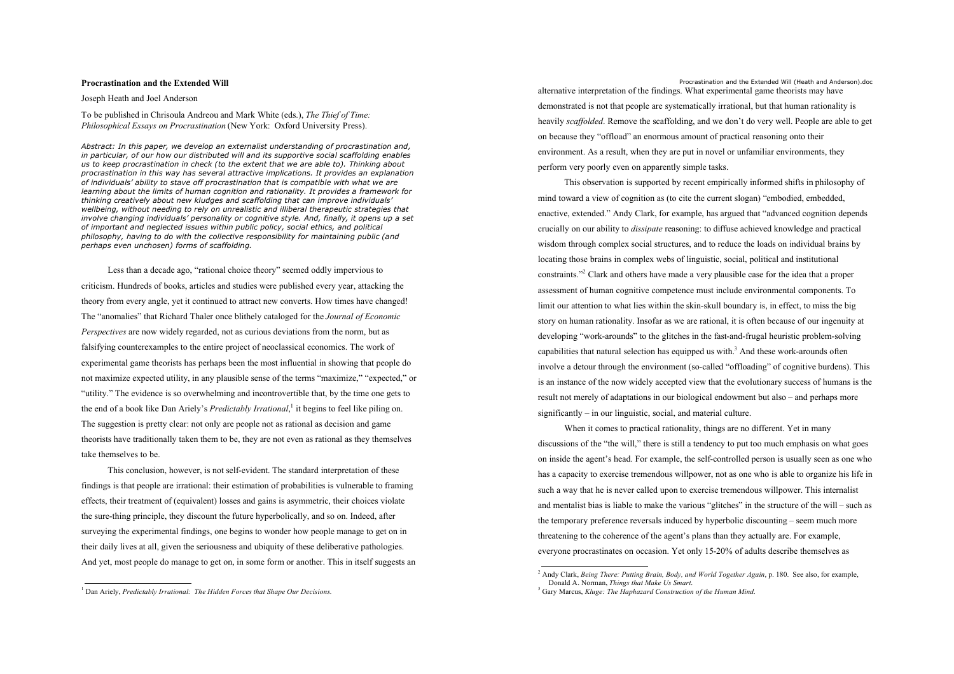### **Procrastination and the Extended Will**

Joseph Heath and Joel Anderson

To be published in Chrisoula Andreou and Mark White (eds.), *The Thief of Time: Philosophical Essays on Procrastination* (New York: Oxford University Press).

*Abstract: In this paper, we develop an externalist understanding of procrastination and, in particular, of our how our distributed will and its supportive social scaffolding enables us to keep procrastination in check (to the extent that we are able to). Thinking about procrastination in this way has several attractive implications. It provides an explanation of individuals' ability to stave off procrastination that is compatible with what we are learning about the limits of human cognition and rationality. It provides a framework for thinking creatively about new kludges and scaffolding that can improve individuals' wellbeing, without needing to rely on unrealistic and illiberal therapeutic strategies that involve changing individuals' personality or cognitive style. And, finally, it opens up a set of important and neglected issues within public policy, social ethics, and political philosophy, having to do with the collective responsibility for maintaining public (and perhaps even unchosen) forms of scaffolding.*

Less than a decade ago, "rational choice theory" seemed oddly impervious to criticism. Hundreds of books, articles and studies were published every year, attacking the theory from every angle, yet it continued to attract new converts. How times have changed! The "anomalies" that Richard Thaler once blithely cataloged for the *Journal of Economic Perspectives* are now widely regarded, not as curious deviations from the norm, but as falsifying counterexamples to the entire project of neoclassical economics. The work of experimental game theorists has perhaps been the most influential in showing that people do not maximize expected utility, in any plausible sense of the terms "maximize," "expected," or "utility." The evidence is so overwhelming and incontrovertible that, by the time one gets to the end of a book like Dan Ariely's *Predictably Irrational*,<sup>1</sup> it begins to feel like piling on. The suggestion is pretty clear: not only are people not as rational as decision and game theorists have traditionally taken them to be, they are not even as rational as they themselves take themselves to be.

This conclusion, however, is not self-evident. The standard interpretation of these findings is that people are irrational: their estimation of probabilities is vulnerable to framing effects, their treatment of (equivalent) losses and gains is asymmetric, their choices violate the sure-thing principle, they discount the future hyperbolically, and so on. Indeed, after surveying the experimental findings, one begins to wonder how people manage to get on in their daily lives at all, given the seriousness and ubiquity of these deliberative pathologies. And yet, most people do manage to get on, in some form or another. This in itself suggests an

Procrastination and the Extended Will (Heath and Anderson).doc alternative interpretation of the findings. What experimental game theorists may have demonstrated is not that people are systematically irrational, but that human rationality is heavily *scaffolded*. Remove the scaffolding, and we don't do very well. People are able to get on because they "offload" an enormous amount of practical reasoning onto their environment. As a result, when they are put in novel or unfamiliar environments, they perform very poorly even on apparently simple tasks.

This observation is supported by recent empirically informed shifts in philosophy of mind toward a view of cognition as (to cite the current slogan) "embodied, embedded, enactive, extended." Andy Clark, for example, has argued that "advanced cognition depends crucially on our ability to *dissipate* reasoning: to diffuse achieved knowledge and practical wisdom through complex social structures, and to reduce the loads on individual brains by locating those brains in complex webs of linguistic, social, political and institutional constraints."<sup>2</sup> Clark and others have made a very plausible case for the idea that a proper assessment of human cognitive competence must include environmental components. To limit our attention to what lies within the skin-skull boundary is, in effect, to miss the big story on human rationality. Insofar as we are rational, it is often because of our ingenuity at developing "work-arounds" to the glitches in the fast-and-frugal heuristic problem-solving capabilities that natural selection has equipped us with. $3$  And these work-arounds often involve a detour through the environment (so-called "offloading" of cognitive burdens). This is an instance of the now widely accepted view that the evolutionary success of humans is the result not merely of adaptations in our biological endowment but also – and perhaps more significantly – in our linguistic, social, and material culture.

When it comes to practical rationality, things are no different. Yet in many discussions of the "the will," there is still a tendency to put too much emphasis on what goes on inside the agent's head. For example, the self-controlled person is usually seen as one who has a capacity to exercise tremendous willpower, not as one who is able to organize his life in such a way that he is never called upon to exercise tremendous willpower. This internalist and mentalist bias is liable to make the various "glitches" in the structure of the will – such as the temporary preference reversals induced by hyperbolic discounting – seem much more threatening to the coherence of the agent's plans than they actually are. For example, everyone procrastinates on occasion. Yet only 15-20% of adults describe themselves as

1

1 Dan Ariely, *Predictably Irrational: The Hidden Forces that Shape Our Decisions.*

<sup>&</sup>lt;sup>2</sup> Andy Clark, *Being There: Putting Brain, Body, and World Together Again*, p. 180. See also, for example, Donald A. Norman, *Things that Make Us Smart*. <sup>3</sup> Gary Marcus, *Kluge: The Haphazard Construction of the Human Mind*.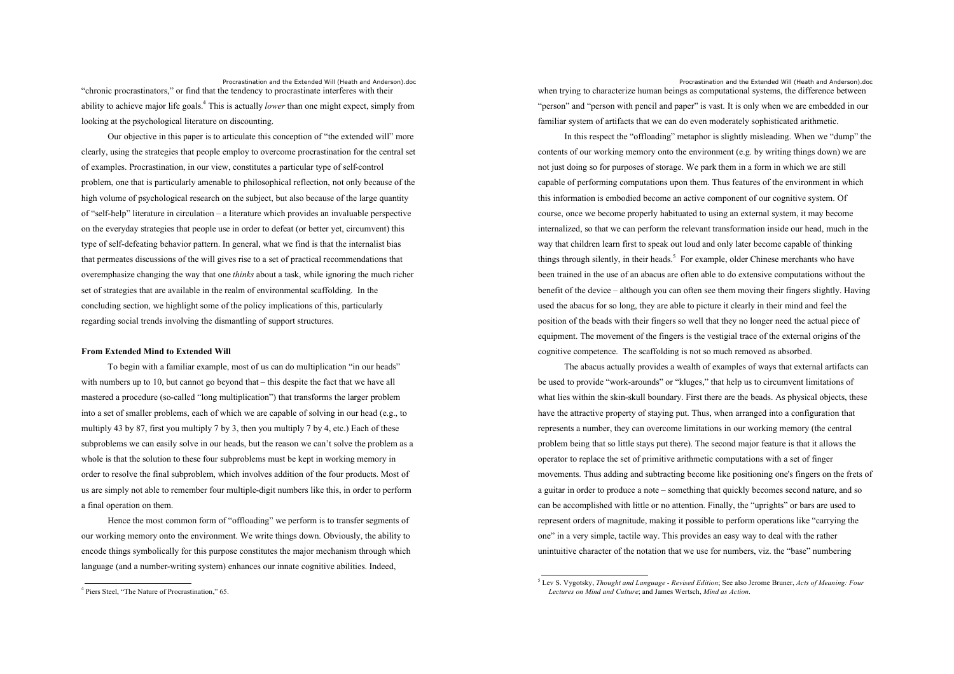Procrastination and the Extended Will (Heath and Anderson).doc "chronic procrastinators," or find that the tendency to procrastinate interferes with their ability to achieve major life goals.<sup>4</sup> This is actually *lower* than one might expect, simply from looking at the psychological literature on discounting.

Our objective in this paper is to articulate this conception of "the extended will" more clearly, using the strategies that people employ to overcome procrastination for the central set of examples. Procrastination, in our view, constitutes a particular type of self-control problem, one that is particularly amenable to philosophical reflection, not only because of the high volume of psychological research on the subject, but also because of the large quantity of "self-help" literature in circulation – a literature which provides an invaluable perspective on the everyday strategies that people use in order to defeat (or better yet, circumvent) this type of self-defeating behavior pattern. In general, what we find is that the internalist bias that permeates discussions of the will gives rise to a set of practical recommendations that overemphasize changing the way that one *thinks* about a task, while ignoring the much richer set of strategies that are available in the realm of environmental scaffolding. In the concluding section, we highlight some of the policy implications of this, particularly regarding social trends involving the dismantling of support structures.

### **From Extended Mind to Extended Will**

To begin with a familiar example, most of us can do multiplication "in our heads" with numbers up to 10, but cannot go beyond that – this despite the fact that we have all mastered a procedure (so-called "long multiplication") that transforms the larger problem into a set of smaller problems, each of which we are capable of solving in our head (e.g., to multiply 43 by 87, first you multiply 7 by 3, then you multiply 7 by 4, etc.) Each of these subproblems we can easily solve in our heads, but the reason we can't solve the problem as a whole is that the solution to these four subproblems must be kept in working memory in order to resolve the final subproblem, which involves addition of the four products. Most of us are simply not able to remember four multiple-digit numbers like this, in order to perform a final operation on them.

Hence the most common form of "offloading" we perform is to transfer segments of our working memory onto the environment. We write things down. Obviously, the ability to encode things symbolically for this purpose constitutes the major mechanism through which language (and a number-writing system) enhances our innate cognitive abilities. Indeed,

4 Piers Steel, "The Nature of Procrastination," 65.

Procrastination and the Extended Will (Heath and Anderson).doc when trying to characterize human beings as computational systems, the difference between "person" and "person with pencil and paper" is vast. It is only when we are embedded in our familiar system of artifacts that we can do even moderately sophisticated arithmetic.

In this respect the "offloading" metaphor is slightly misleading. When we "dump" the contents of our working memory onto the environment (e.g. by writing things down) we are not just doing so for purposes of storage. We park them in a form in which we are still capable of performing computations upon them. Thus features of the environment in which this information is embodied become an active component of our cognitive system. Of course, once we become properly habituated to using an external system, it may become internalized, so that we can perform the relevant transformation inside our head, much in the way that children learn first to speak out loud and only later become capable of thinking things through silently, in their heads.<sup>5</sup> For example, older Chinese merchants who have been trained in the use of an abacus are often able to do extensive computations without the benefit of the device – although you can often see them moving their fingers slightly. Having used the abacus for so long, they are able to picture it clearly in their mind and feel the position of the beads with their fingers so well that they no longer need the actual piece of equipment. The movement of the fingers is the vestigial trace of the external origins of the cognitive competence. The scaffolding is not so much removed as absorbed.

The abacus actually provides a wealth of examples of ways that external artifacts can be used to provide "work-arounds" or "kluges," that help us to circumvent limitations of what lies within the skin-skull boundary. First there are the beads. As physical objects, these have the attractive property of staying put. Thus, when arranged into a configuration that represents a number, they can overcome limitations in our working memory (the central problem being that so little stays put there). The second major feature is that it allows the operator to replace the set of primitive arithmetic computations with a set of finger movements. Thus adding and subtracting become like positioning one's fingers on the frets of a guitar in order to produce a note – something that quickly becomes second nature, and so can be accomplished with little or no attention. Finally, the "uprights" or bars are used to represent orders of magnitude, making it possible to perform operations like "carrying the one" in a very simple, tactile way. This provides an easy way to deal with the rather unintuitive character of the notation that we use for numbers, viz. the "base" numbering

5 Lev S. Vygotsky, *Thought and Language - Revised Edition*; See also Jerome Bruner, *Acts of Meaning: Four Lectures on Mind and Culture*; and James Wertsch, *Mind as Action*.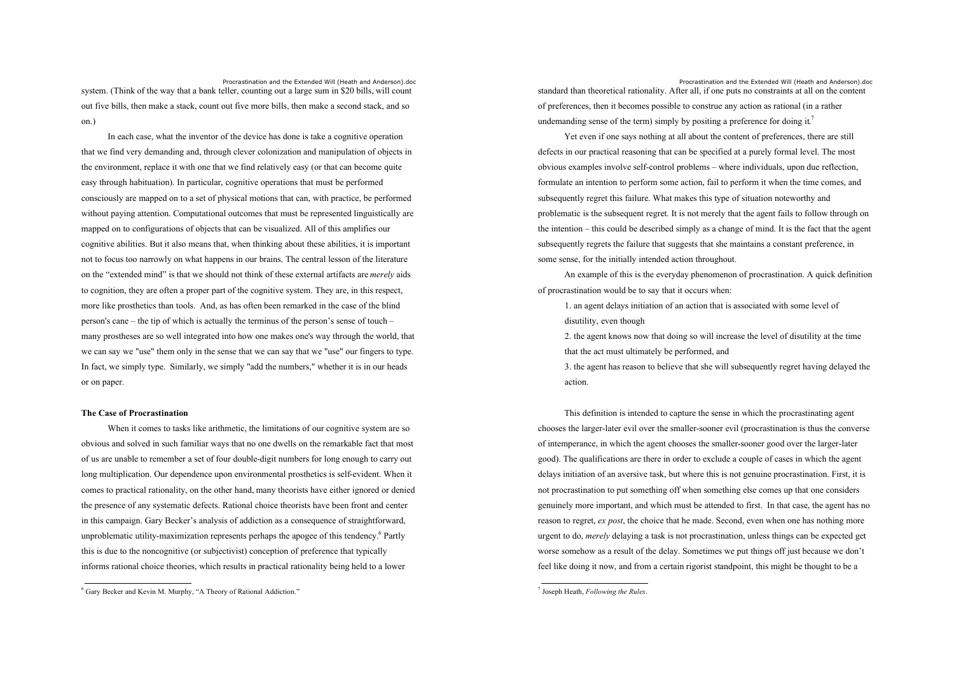Procrastination and the Extended Will (Heath and Anderson).doc system. (Think of the way that a bank teller, counting out a large sum in \$20 bills, will count out five bills, then make a stack, count out five more bills, then make a second stack, and so on.)

In each case, what the inventor of the device has done is take a cognitive operation that we find very demanding and, through clever colonization and manipulation of objects in the environment, replace it with one that we find relatively easy (or that can become quite easy through habituation). In particular, cognitive operations that must be performed consciously are mapped on to a set of physical motions that can, with practice, be performed without paying attention. Computational outcomes that must be represented linguistically are mapped on to configurations of objects that can be visualized. All of this amplifies our cognitive abilities. But it also means that, when thinking about these abilities, it is important not to focus too narrowly on what happens in our brains. The central lesson of the literature on the "extended mind" is that we should not think of these external artifacts are *merely* aids to cognition, they are often a proper part of the cognitive system. They are, in this respect, more like prosthetics than tools. And, as has often been remarked in the case of the blind person's cane – the tip of which is actually the terminus of the person's sense of touch – many prostheses are so well integrated into how one makes one's way through the world, that we can say we "use" them only in the sense that we can say that we "use" our fingers to type. In fact, we simply type. Similarly, we simply "add the numbers," whether it is in our heads or on paper.

#### **The Case of Procrastination**

When it comes to tasks like arithmetic, the limitations of our cognitive system are so obvious and solved in such familiar ways that no one dwells on the remarkable fact that most of us are unable to remember a set of four double-digit numbers for long enough to carry out long multiplication. Our dependence upon environmental prosthetics is self-evident. When it comes to practical rationality, on the other hand, many theorists have either ignored or denied the presence of any systematic defects. Rational choice theorists have been front and center in this campaign. Gary Becker's analysis of addiction as a consequence of straightforward, unproblematic utility-maximization represents perhaps the apogee of this tendency.<sup>6</sup> Partly this is due to the noncognitive (or subjectivist) conception of preference that typically informs rational choice theories, which results in practical rationality being held to a lower

Procrastination and the Extended Will (Heath and Anderson).doc standard than theoretical rationality. After all, if one puts no constraints at all on the content of preferences, then it becomes possible to construe any action as rational (in a rather undemanding sense of the term) simply by positing a preference for doing it.<sup>7</sup>

Yet even if one says nothing at all about the content of preferences, there are still defects in our practical reasoning that can be specified at a purely formal level. The most obvious examples involve self-control problems – where individuals, upon due reflection, formulate an intention to perform some action, fail to perform it when the time comes, and subsequently regret this failure. What makes this type of situation noteworthy and problematic is the subsequent regret. It is not merely that the agent fails to follow through on the intention – this could be described simply as a change of mind. It is the fact that the agent subsequently regrets the failure that suggests that she maintains a constant preference, in some sense, for the initially intended action throughout.

An example of this is the everyday phenomenon of procrastination. A quick definition of procrastination would be to say that it occurs when:

- 1. an agent delays initiation of an action that is associated with some level of disutility, even though
- 2. the agent knows now that doing so will increase the level of disutility at the time that the act must ultimately be performed, and
- 3. the agent has reason to believe that she will subsequently regret having delayed the action.

This definition is intended to capture the sense in which the procrastinating agent chooses the larger-later evil over the smaller-sooner evil (procrastination is thus the converse of intemperance, in which the agent chooses the smaller-sooner good over the larger-later good). The qualifications are there in order to exclude a couple of cases in which the agent delays initiation of an aversive task, but where this is not genuine procrastination. First, it is not procrastination to put something off when something else comes up that one considers genuinely more important, and which must be attended to first. In that case, the agent has no reason to regret, *ex post*, the choice that he made. Second, even when one has nothing more urgent to do, *merely* delaying a task is not procrastination, unless things can be expected get worse somehow as a result of the delay. Sometimes we put things off just because we don't feel like doing it now, and from a certain rigorist standpoint, this might be thought to be a

6 Gary Becker and Kevin M. Murphy, "A Theory of Rational Addiction."

7 Joseph Heath, *Following the Rules*.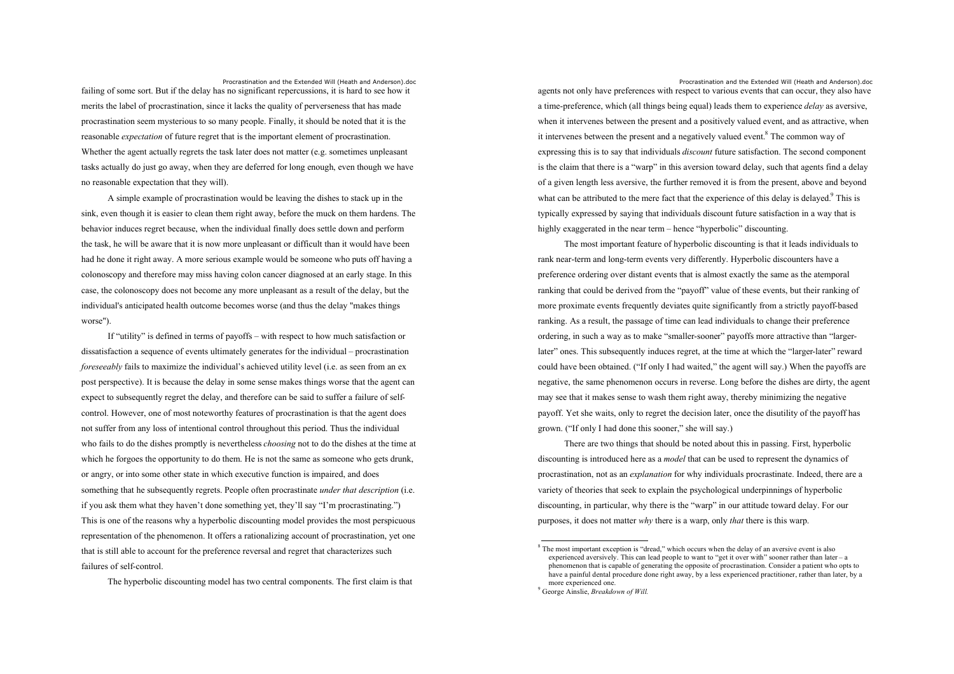Procrastination and the Extended Will (Heath and Anderson).doc failing of some sort. But if the delay has no significant repercussions, it is hard to see how it merits the label of procrastination, since it lacks the quality of perverseness that has made procrastination seem mysterious to so many people. Finally, it should be noted that it is the reasonable *expectation* of future regret that is the important element of procrastination. Whether the agent actually regrets the task later does not matter (e.g. sometimes unpleasant tasks actually do just go away, when they are deferred for long enough, even though we have no reasonable expectation that they will).

A simple example of procrastination would be leaving the dishes to stack up in the sink, even though it is easier to clean them right away, before the muck on them hardens. The behavior induces regret because, when the individual finally does settle down and perform the task, he will be aware that it is now more unpleasant or difficult than it would have been had he done it right away. A more serious example would be someone who puts off having a colonoscopy and therefore may miss having colon cancer diagnosed at an early stage. In this case, the colonoscopy does not become any more unpleasant as a result of the delay, but the individual's anticipated health outcome becomes worse (and thus the delay "makes things worse").

If "utility" is defined in terms of payoffs – with respect to how much satisfaction or dissatisfaction a sequence of events ultimately generates for the individual – procrastination *foreseeably* fails to maximize the individual's achieved utility level (i.e. as seen from an ex post perspective). It is because the delay in some sense makes things worse that the agent can expect to subsequently regret the delay, and therefore can be said to suffer a failure of selfcontrol. However, one of most noteworthy features of procrastination is that the agent does not suffer from any loss of intentional control throughout this period. Thus the individual who fails to do the dishes promptly is nevertheless *choosing* not to do the dishes at the time at which he forgoes the opportunity to do them. He is not the same as someone who gets drunk, or angry, or into some other state in which executive function is impaired, and does something that he subsequently regrets. People often procrastinate *under that description* (i.e. if you ask them what they haven't done something yet, they'll say "I'm procrastinating.") This is one of the reasons why a hyperbolic discounting model provides the most perspicuous representation of the phenomenon. It offers a rationalizing account of procrastination, yet one that is still able to account for the preference reversal and regret that characterizes such failures of self-control.

The hyperbolic discounting model has two central components. The first claim is that

Procrastination and the Extended Will (Heath and Anderson).doc agents not only have preferences with respect to various events that can occur, they also have a time-preference, which (all things being equal) leads them to experience *delay* as aversive, when it intervenes between the present and a positively valued event, and as attractive, when it intervenes between the present and a negatively valued event.<sup>8</sup> The common way of expressing this is to say that individuals *discount* future satisfaction. The second component is the claim that there is a "warp" in this aversion toward delay, such that agents find a delay of a given length less aversive, the further removed it is from the present, above and beyond what can be attributed to the mere fact that the experience of this delay is delayed.<sup>9</sup> This is typically expressed by saying that individuals discount future satisfaction in a way that is highly exaggerated in the near term – hence "hyperbolic" discounting.

The most important feature of hyperbolic discounting is that it leads individuals to rank near-term and long-term events very differently. Hyperbolic discounters have a preference ordering over distant events that is almost exactly the same as the atemporal ranking that could be derived from the "payoff" value of these events, but their ranking of more proximate events frequently deviates quite significantly from a strictly payoff-based ranking. As a result, the passage of time can lead individuals to change their preference ordering, in such a way as to make "smaller-sooner" payoffs more attractive than "largerlater" ones. This subsequently induces regret, at the time at which the "larger-later" reward could have been obtained. ("If only I had waited," the agent will say.) When the payoffs are negative, the same phenomenon occurs in reverse. Long before the dishes are dirty, the agent may see that it makes sense to wash them right away, thereby minimizing the negative payoff. Yet she waits, only to regret the decision later, once the disutility of the payoff has grown. ("If only I had done this sooner," she will say.)

There are two things that should be noted about this in passing. First, hyperbolic discounting is introduced here as a *model* that can be used to represent the dynamics of procrastination, not as an *explanation* for why individuals procrastinate. Indeed, there are a variety of theories that seek to explain the psychological underpinnings of hyperbolic discounting, in particular, why there is the "warp" in our attitude toward delay. For our purposes, it does not matter *why* there is a warp, only *that* there is this warp.

j

<sup>&</sup>lt;sup>8</sup> The most important exception is "dread," which occurs when the delay of an aversive event is also experienced aversively. This can lead people to want to "get it over with" sooner rather than later – a phenomenon that is capable of generating the opposite of procrastination. Consider a patient who opts to have a painful dental procedure done right away, by a less experienced practitioner, rather than later, by a more experienced one.

George Ainslie, *Breakdown of Will.*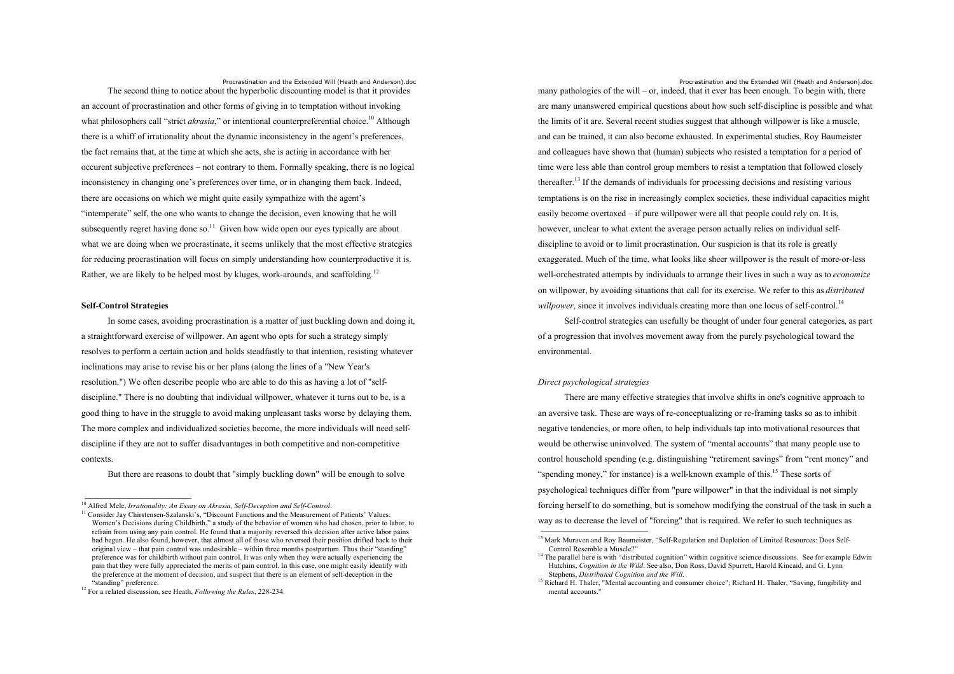Procrastination and the Extended Will (Heath and Anderson).doc The second thing to notice about the hyperbolic discounting model is that it provides an account of procrastination and other forms of giving in to temptation without invoking what philosophers call "strict *akrasia*," or intentional counterpreferential choice.<sup>10</sup> Although there is a whiff of irrationality about the dynamic inconsistency in the agent's preferences, the fact remains that, at the time at which she acts, she is acting in accordance with her occurent subjective preferences – not contrary to them. Formally speaking, there is no logical inconsistency in changing one's preferences over time, or in changing them back. Indeed, there are occasions on which we might quite easily sympathize with the agent's "intemperate" self, the one who wants to change the decision, even knowing that he will subsequently regret having done so.<sup>11</sup> Given how wide open our eyes typically are about what we are doing when we procrastinate, it seems unlikely that the most effective strategies for reducing procrastination will focus on simply understanding how counterproductive it is. Rather, we are likely to be helped most by kluges, work-arounds, and scaffolding.<sup>12</sup>

#### **Self-Control Strategies**

1

In some cases, avoiding procrastination is a matter of just buckling down and doing it, a straightforward exercise of willpower. An agent who opts for such a strategy simply resolves to perform a certain action and holds steadfastly to that intention, resisting whatever inclinations may arise to revise his or her plans (along the lines of a "New Year's resolution.") We often describe people who are able to do this as having a lot of "selfdiscipline." There is no doubting that individual willpower, whatever it turns out to be, is a good thing to have in the struggle to avoid making unpleasant tasks worse by delaying them. The more complex and individualized societies become, the more individuals will need selfdiscipline if they are not to suffer disadvantages in both competitive and non-competitive contexts.

But there are reasons to doubt that "simply buckling down" will be enough to solve

Procrastination and the Extended Will (Heath and Anderson).doc many pathologies of the will – or, indeed, that it ever has been enough. To begin with, there are many unanswered empirical questions about how such self-discipline is possible and what the limits of it are. Several recent studies suggest that although willpower is like a muscle, and can be trained, it can also become exhausted. In experimental studies, Roy Baumeister and colleagues have shown that (human) subjects who resisted a temptation for a period of time were less able than control group members to resist a temptation that followed closely thereafter.<sup>13</sup> If the demands of individuals for processing decisions and resisting various temptations is on the rise in increasingly complex societies, these individual capacities might easily become overtaxed – if pure willpower were all that people could rely on. It is, however, unclear to what extent the average person actually relies on individual selfdiscipline to avoid or to limit procrastination. Our suspicion is that its role is greatly exaggerated. Much of the time, what looks like sheer willpower is the result of more-or-less well-orchestrated attempts by individuals to arrange their lives in such a way as to *economize*  on willpower, by avoiding situations that call for its exercise. We refer to this as *distributed willpower*, since it involves individuals creating more than one locus of self-control.<sup>14</sup>

Self-control strategies can usefully be thought of under four general categories, as part of a progression that involves movement away from the purely psychological toward the environmental.

# *Direct psychological strategies*

There are many effective strategies that involve shifts in one's cognitive approach to an aversive task. These are ways of re-conceptualizing or re-framing tasks so as to inhibit negative tendencies, or more often, to help individuals tap into motivational resources that would be otherwise uninvolved. The system of "mental accounts" that many people use to control household spending (e.g. distinguishing "retirement savings" from "rent money" and "spending money," for instance) is a well-known example of this.<sup>15</sup> These sorts of psychological techniques differ from "pure willpower" in that the individual is not simply forcing herself to do something, but is somehow modifying the construal of the task in such a way as to decrease the level of "forcing" that is required. We refer to such techniques as

<sup>&</sup>lt;sup>10</sup> Alfred Mele, *Irrationality: An Essay on Akrasia, Self-Deception and Self-Control.* 11<br><sup>11</sup> Consider Jay Chirstensen-Szalanski's, "Discount Functions and the Measurement of Patients' Values:

Women's Decisions during Childbirth," a study of the behavior of women who had chosen, prior to labor, to refrain from using any pain control. He found that a majority reversed this decision after active labor pains had begun. He also found, however, that almost all of those who reversed their position drifted back to their original view – that pain control was undesirable – within three months postpartum. Thus their "standing" preference was for childbirth without pain control. It was only when they were actually experiencing the pain that they were fully appreciated the merits of pain control. In this case, one might easily identify with the preference at the moment of decision, and suspect that there is an element of self-deception in the "standing" preference. 12 For a related discussion, see Heath, *Following the Rules*, 228-234.

<sup>13&</sup>lt;br><sup>13</sup> Mark Muraven and Roy Baumeister, "Self-Regulation and Depletion of Limited Resources: Does Self-Control Resemble a Muscle?" Unitational extensions of the parallel here is with "distributed cognition" within cognitive science discussions. See for example Edwin

Hutchins, *Cognition in the Wild*. See also, Don Ross, David Spurrett, Harold Kincaid, and G. Lynn

Stephens, *Distributed Cognition and the Will*.<br><sup>15</sup> Richard H. Thaler, "Mental accounting and consumer choice"; Richard H. Thaler, "Saving, fungibility and mental accounts."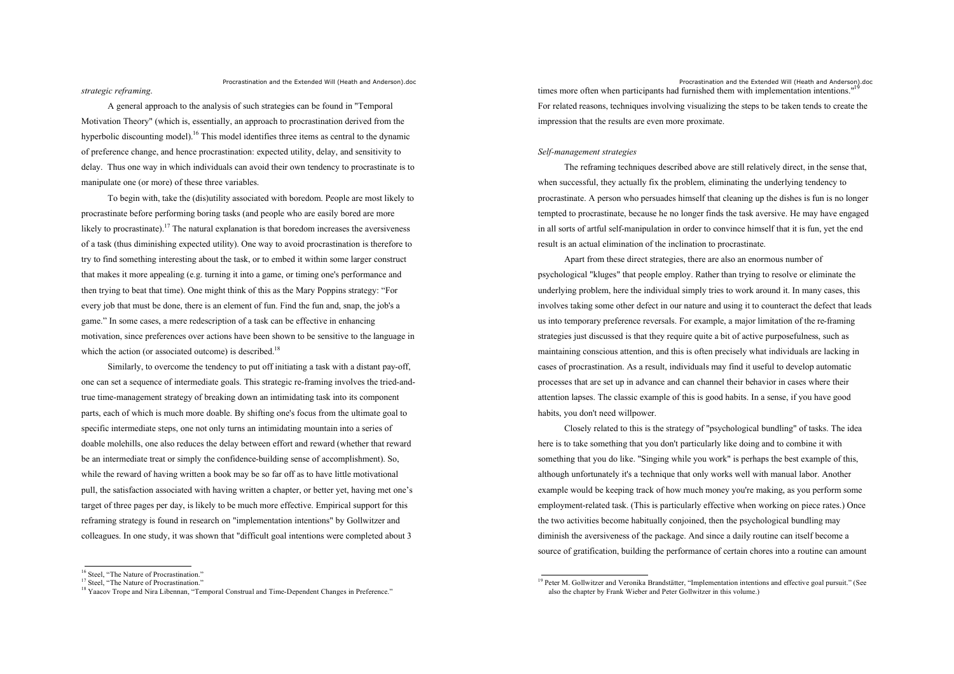# Procrastination and the Extended Will (Heath and Anderson).doc

A general approach to the analysis of such strategies can be found in "Temporal Motivation Theory" (which is, essentially, an approach to procrastination derived from the hyperbolic discounting model).<sup>16</sup> This model identifies three items as central to the dynamic of preference change, and hence procrastination: expected utility, delay, and sensitivity to delay. Thus one way in which individuals can avoid their own tendency to procrastinate is to manipulate one (or more) of these three variables.

To begin with, take the (dis)utility associated with boredom. People are most likely to procrastinate before performing boring tasks (and people who are easily bored are more likely to procrastinate).<sup>17</sup> The natural explanation is that boredom increases the aversiveness of a task (thus diminishing expected utility). One way to avoid procrastination is therefore to try to find something interesting about the task, or to embed it within some larger construct that makes it more appealing (e.g. turning it into a game, or timing one's performance and then trying to beat that time). One might think of this as the Mary Poppins strategy: "For every job that must be done, there is an element of fun. Find the fun and, snap, the job's a game." In some cases, a mere redescription of a task can be effective in enhancing motivation, since preferences over actions have been shown to be sensitive to the language in which the action (or associated outcome) is described.<sup>18</sup>

Similarly, to overcome the tendency to put off initiating a task with a distant pay-off, one can set a sequence of intermediate goals. This strategic re-framing involves the tried-andtrue time-management strategy of breaking down an intimidating task into its component parts, each of which is much more doable. By shifting one's focus from the ultimate goal to specific intermediate steps, one not only turns an intimidating mountain into a series of doable molehills, one also reduces the delay between effort and reward (whether that reward be an intermediate treat or simply the confidence-building sense of accomplishment). So, while the reward of having written a book may be so far off as to have little motivational pull, the satisfaction associated with having written a chapter, or better yet, having met one's target of three pages per day, is likely to be much more effective. Empirical support for this reframing strategy is found in research on "implementation intentions" by Gollwitzer and colleagues. In one study, it was shown that "difficult goal intentions were completed about 3

*strategic reframing*.

Procrastination and the Extended Will (Heath and Anderson).doc times more often when participants had furnished them with implementation intentions." For related reasons, techniques involving visualizing the steps to be taken tends to create the impression that the results are even more proximate.

#### *Self-management strategies*

The reframing techniques described above are still relatively direct, in the sense that, when successful, they actually fix the problem, eliminating the underlying tendency to procrastinate. A person who persuades himself that cleaning up the dishes is fun is no longer tempted to procrastinate, because he no longer finds the task aversive. He may have engaged in all sorts of artful self-manipulation in order to convince himself that it is fun, yet the end result is an actual elimination of the inclination to procrastinate.

Apart from these direct strategies, there are also an enormous number of psychological "kluges" that people employ. Rather than trying to resolve or eliminate the underlying problem, here the individual simply tries to work around it. In many cases, this involves taking some other defect in our nature and using it to counteract the defect that leads us into temporary preference reversals. For example, a major limitation of the re-framing strategies just discussed is that they require quite a bit of active purposefulness, such as maintaining conscious attention, and this is often precisely what individuals are lacking in cases of procrastination. As a result, individuals may find it useful to develop automatic processes that are set up in advance and can channel their behavior in cases where their attention lapses. The classic example of this is good habits. In a sense, if you have good habits, you don't need willpower.

Closely related to this is the strategy of "psychological bundling" of tasks. The idea here is to take something that you don't particularly like doing and to combine it with something that you do like. "Singing while you work" is perhaps the best example of this, although unfortunately it's a technique that only works well with manual labor. Another example would be keeping track of how much money you're making, as you perform some employment-related task. (This is particularly effective when working on piece rates.) Once the two activities become habitually conjoined, then the psychological bundling may diminish the aversiveness of the package. And since a daily routine can itself become a source of gratification, building the performance of certain chores into a routine can amount

<sup>&</sup>lt;sup>16</sup> Steel, "The Nature of Procrastination."<br><sup>17</sup> Steel, "The Nature of Procrastination."<br><sup>18</sup> Yaacov Trope and Nira Libennan, "Temporal Construal and Time-Dependent Changes in Preference."

<sup>&</sup>lt;sup>19</sup> Peter M. Gollwitzer and Veronika Brandstätter, "Implementation intentions and effective goal pursuit." (See also the chapter by Frank Wieber and Peter Gollwitzer in this volume.)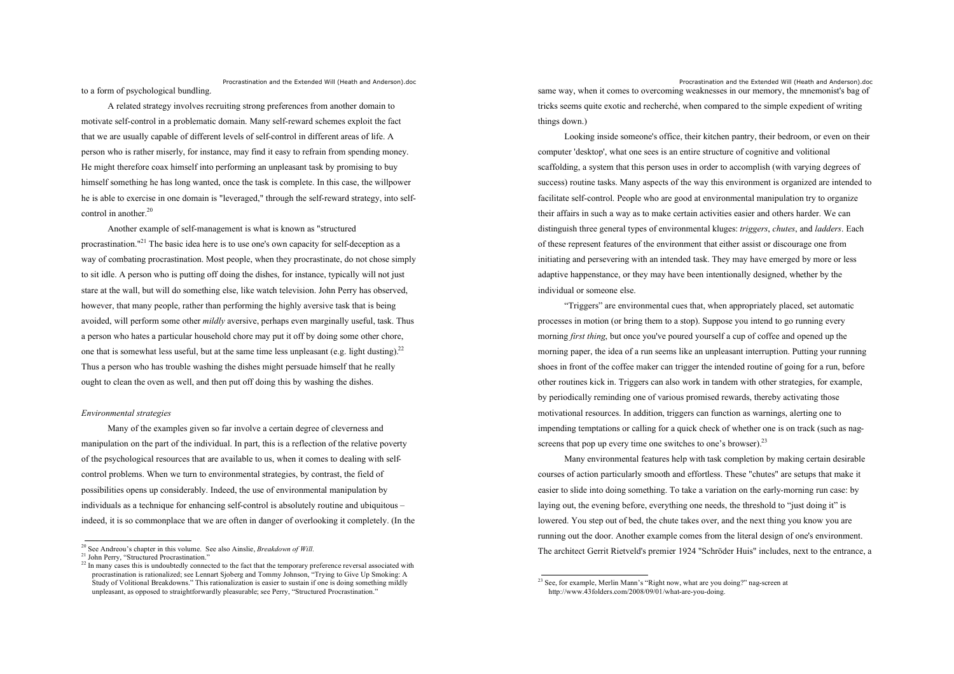Procrastination and the Extended Will (Heath and Anderson).doc to a form of psychological bundling.

A related strategy involves recruiting strong preferences from another domain to motivate self-control in a problematic domain. Many self-reward schemes exploit the fact that we are usually capable of different levels of self-control in different areas of life. A person who is rather miserly, for instance, may find it easy to refrain from spending money. He might therefore coax himself into performing an unpleasant task by promising to buy himself something he has long wanted, once the task is complete. In this case, the willpower he is able to exercise in one domain is "leveraged," through the self-reward strategy, into selfcontrol in another. $20$ 

Another example of self-management is what is known as "structured procrastination."<sup>21</sup> The basic idea here is to use one's own capacity for self-deception as a way of combating procrastination. Most people, when they procrastinate, do not chose simply to sit idle. A person who is putting off doing the dishes, for instance, typically will not just stare at the wall, but will do something else, like watch television. John Perry has observed, however, that many people, rather than performing the highly aversive task that is being avoided, will perform some other *mildly* aversive, perhaps even marginally useful, task. Thus a person who hates a particular household chore may put it off by doing some other chore, one that is somewhat less useful, but at the same time less unpleasant (e.g. light dusting).<sup>22</sup> Thus a person who has trouble washing the dishes might persuade himself that he really ought to clean the oven as well, and then put off doing this by washing the dishes.

#### *Environmental strategies*

Many of the examples given so far involve a certain degree of cleverness and manipulation on the part of the individual. In part, this is a reflection of the relative poverty of the psychological resources that are available to us, when it comes to dealing with selfcontrol problems. When we turn to environmental strategies, by contrast, the field of possibilities opens up considerably. Indeed, the use of environmental manipulation by individuals as a technique for enhancing self-control is absolutely routine and ubiquitous – indeed, it is so commonplace that we are often in danger of overlooking it completely. (In the

j

Procrastination and the Extended Will (Heath and Anderson).doc same way, when it comes to overcoming weaknesses in our memory, the mnemonist's bag of tricks seems quite exotic and recherché, when compared to the simple expedient of writing things down.)

Looking inside someone's office, their kitchen pantry, their bedroom, or even on their computer 'desktop', what one sees is an entire structure of cognitive and volitional scaffolding, a system that this person uses in order to accomplish (with varying degrees of success) routine tasks. Many aspects of the way this environment is organized are intended to facilitate self-control. People who are good at environmental manipulation try to organize their affairs in such a way as to make certain activities easier and others harder. We can distinguish three general types of environmental kluges: *triggers*, *chutes*, and *ladders*. Each of these represent features of the environment that either assist or discourage one from initiating and persevering with an intended task. They may have emerged by more or less adaptive happenstance, or they may have been intentionally designed, whether by the individual or someone else.

"Triggers" are environmental cues that, when appropriately placed, set automatic processes in motion (or bring them to a stop). Suppose you intend to go running every morning *first thing*, but once you've poured yourself a cup of coffee and opened up the morning paper, the idea of a run seems like an unpleasant interruption. Putting your running shoes in front of the coffee maker can trigger the intended routine of going for a run, before other routines kick in. Triggers can also work in tandem with other strategies, for example, by periodically reminding one of various promised rewards, thereby activating those motivational resources. In addition, triggers can function as warnings, alerting one to impending temptations or calling for a quick check of whether one is on track (such as nagscreens that pop up every time one switches to one's browser).<sup>23</sup>

Many environmental features help with task completion by making certain desirable courses of action particularly smooth and effortless. These "chutes" are setups that make it easier to slide into doing something. To take a variation on the early-morning run case: by laying out, the evening before, everything one needs, the threshold to "just doing it" is lowered. You step out of bed, the chute takes over, and the next thing you know you are running out the door. Another example comes from the literal design of one's environment. The architect Gerrit Rietveld's premier 1924 "Schröder Huis" includes, next to the entrance, a

<sup>&</sup>lt;sup>20</sup> See Andreou's chapter in this volume. See also Ainslie, *Breakdown of Will.* <sup>21</sup> John Perry, "Structured Procrastination."

<sup>&</sup>lt;sup>22</sup> In many cases this is undoubtedly connected to the fact that the temporary preference reversal associated with procrastination is rationalized; see Lennart Sjoberg and Tommy Johnson, "Trying to Give Up Smoking: A Study of Volitional Breakdowns." This rationalization is easier to sustain if one is doing something mildly unpleasant, as opposed to straightforwardly pleasurable; see Perry, "Structured Procrastination."

<sup>&</sup>lt;sup>23</sup> See, for example, Merlin Mann's "Right now, what are you doing?" nag-screen at http://www.43folders.com/2008/09/01/what-are-you-doing.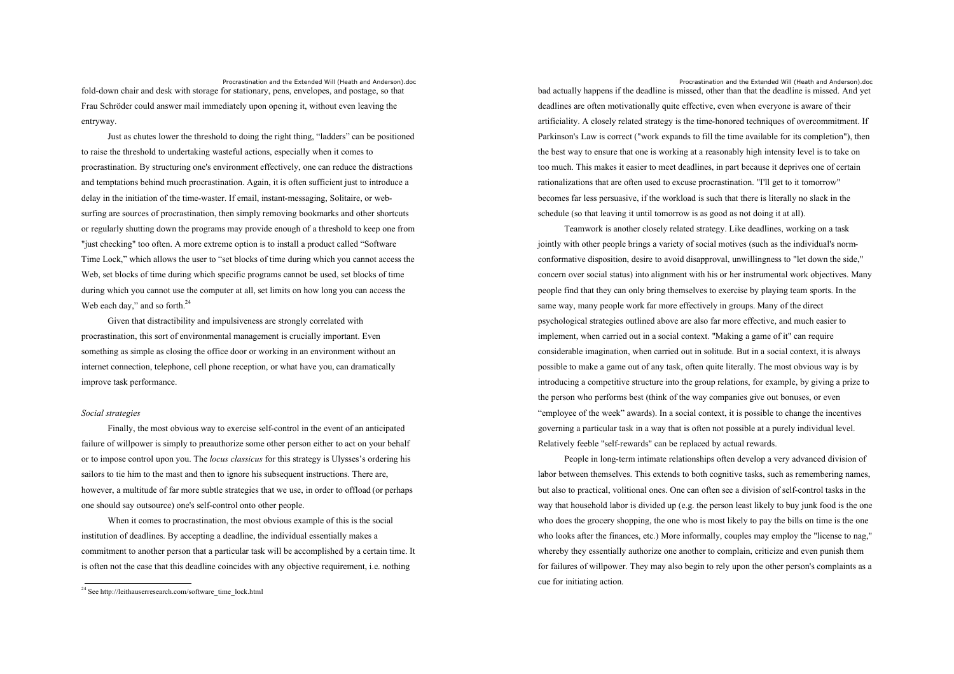Procrastination and the Extended Will (Heath and Anderson).doc fold-down chair and desk with storage for stationary, pens, envelopes, and postage, so that Frau Schröder could answer mail immediately upon opening it, without even leaving the entryway.

Just as chutes lower the threshold to doing the right thing, "ladders" can be positioned to raise the threshold to undertaking wasteful actions, especially when it comes to procrastination. By structuring one's environment effectively, one can reduce the distractions and temptations behind much procrastination. Again, it is often sufficient just to introduce a delay in the initiation of the time-waster. If email, instant-messaging, Solitaire, or websurfing are sources of procrastination, then simply removing bookmarks and other shortcuts or regularly shutting down the programs may provide enough of a threshold to keep one from "just checking" too often. A more extreme option is to install a product called "Software Time Lock," which allows the user to "set blocks of time during which you cannot access the Web, set blocks of time during which specific programs cannot be used, set blocks of time during which you cannot use the computer at all, set limits on how long you can access the Web each day," and so forth. $24$ 

Given that distractibility and impulsiveness are strongly correlated with procrastination, this sort of environmental management is crucially important. Even something as simple as closing the office door or working in an environment without an internet connection, telephone, cell phone reception, or what have you, can dramatically improve task performance.

### *Social strategies*

Finally, the most obvious way to exercise self-control in the event of an anticipated failure of willpower is simply to preauthorize some other person either to act on your behalf or to impose control upon you. The *locus classicus* for this strategy is Ulysses's ordering his sailors to tie him to the mast and then to ignore his subsequent instructions. There are, however, a multitude of far more subtle strategies that we use, in order to offload (or perhaps one should say outsource) one's self-control onto other people.

When it comes to procrastination, the most obvious example of this is the social institution of deadlines. By accepting a deadline, the individual essentially makes a commitment to another person that a particular task will be accomplished by a certain time. It is often not the case that this deadline coincides with any objective requirement, i.e. nothing

Procrastination and the Extended Will (Heath and Anderson).doc bad actually happens if the deadline is missed, other than that the deadline is missed. And yet deadlines are often motivationally quite effective, even when everyone is aware of their artificiality. A closely related strategy is the time-honored techniques of overcommitment. If Parkinson's Law is correct ("work expands to fill the time available for its completion"), then the best way to ensure that one is working at a reasonably high intensity level is to take on too much. This makes it easier to meet deadlines, in part because it deprives one of certain rationalizations that are often used to excuse procrastination. "I'll get to it tomorrow" becomes far less persuasive, if the workload is such that there is literally no slack in the schedule (so that leaving it until tomorrow is as good as not doing it at all).

Teamwork is another closely related strategy. Like deadlines, working on a task jointly with other people brings a variety of social motives (such as the individual's normconformative disposition, desire to avoid disapproval, unwillingness to "let down the side," concern over social status) into alignment with his or her instrumental work objectives. Many people find that they can only bring themselves to exercise by playing team sports. In the same way, many people work far more effectively in groups. Many of the direct psychological strategies outlined above are also far more effective, and much easier to implement, when carried out in a social context. "Making a game of it" can require considerable imagination, when carried out in solitude. But in a social context, it is always possible to make a game out of any task, often quite literally. The most obvious way is by introducing a competitive structure into the group relations, for example, by giving a prize to the person who performs best (think of the way companies give out bonuses, or even "employee of the week" awards). In a social context, it is possible to change the incentives governing a particular task in a way that is often not possible at a purely individual level. Relatively feeble "self-rewards" can be replaced by actual rewards.

People in long-term intimate relationships often develop a very advanced division of labor between themselves. This extends to both cognitive tasks, such as remembering names, but also to practical, volitional ones. One can often see a division of self-control tasks in the way that household labor is divided up (e.g. the person least likely to buy junk food is the one who does the grocery shopping, the one who is most likely to pay the bills on time is the one who looks after the finances, etc.) More informally, couples may employ the "license to nag," whereby they essentially authorize one another to complain, criticize and even punish them for failures of willpower. They may also begin to rely upon the other person's complaints as a cue for initiating action.

<sup>&</sup>lt;sup>24</sup> See http://leithauserresearch.com/software\_time\_lock.html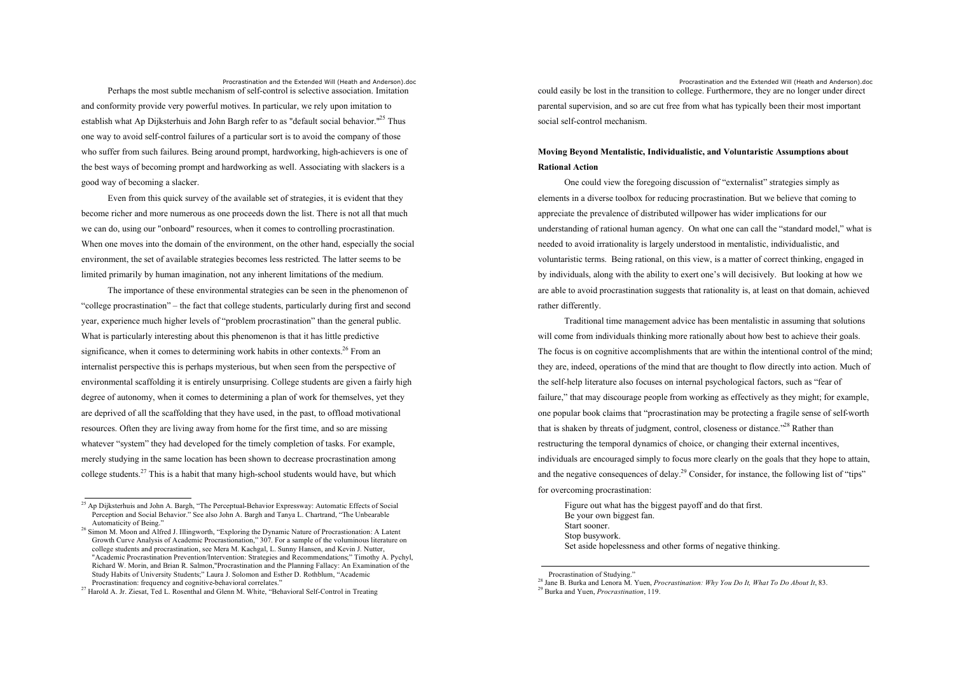Procrastination and the Extended Will (Heath and Anderson).doc Perhaps the most subtle mechanism of self-control is selective association. Imitation and conformity provide very powerful motives. In particular, we rely upon imitation to establish what Ap Dijksterhuis and John Bargh refer to as "default social behavior."<sup>25</sup> Thus one way to avoid self-control failures of a particular sort is to avoid the company of those who suffer from such failures. Being around prompt, hardworking, high-achievers is one of the best ways of becoming prompt and hardworking as well. Associating with slackers is a good way of becoming a slacker.

Even from this quick survey of the available set of strategies, it is evident that they become richer and more numerous as one proceeds down the list. There is not all that much we can do, using our "onboard" resources, when it comes to controlling procrastination. When one moves into the domain of the environment, on the other hand, especially the social environment, the set of available strategies becomes less restricted. The latter seems to be limited primarily by human imagination, not any inherent limitations of the medium.

The importance of these environmental strategies can be seen in the phenomenon of "college procrastination" – the fact that college students, particularly during first and second year, experience much higher levels of "problem procrastination" than the general public. What is particularly interesting about this phenomenon is that it has little predictive significance, when it comes to determining work habits in other contexts.<sup>26</sup> From an internalist perspective this is perhaps mysterious, but when seen from the perspective of environmental scaffolding it is entirely unsurprising. College students are given a fairly high degree of autonomy, when it comes to determining a plan of work for themselves, yet they are deprived of all the scaffolding that they have used, in the past, to offload motivational resources. Often they are living away from home for the first time, and so are missing whatever "system" they had developed for the timely completion of tasks. For example, merely studying in the same location has been shown to decrease procrastination among college students.<sup>27</sup> This is a habit that many high-school students would have, but which

Procrastination and the Extended Will (Heath and Anderson).doc could easily be lost in the transition to college. Furthermore, they are no longer under direct parental supervision, and so are cut free from what has typically been their most important social self-control mechanism.

# **Moving Beyond Mentalistic, Individualistic, and Voluntaristic Assumptions about Rational Action**

One could view the foregoing discussion of "externalist" strategies simply as elements in a diverse toolbox for reducing procrastination. But we believe that coming to appreciate the prevalence of distributed willpower has wider implications for our understanding of rational human agency. On what one can call the "standard model," what is needed to avoid irrationality is largely understood in mentalistic, individualistic, and voluntaristic terms. Being rational, on this view, is a matter of correct thinking, engaged in by individuals, along with the ability to exert one's will decisively. But looking at how we are able to avoid procrastination suggests that rationality is, at least on that domain, achieved rather differently.

Traditional time management advice has been mentalistic in assuming that solutions will come from individuals thinking more rationally about how best to achieve their goals. The focus is on cognitive accomplishments that are within the intentional control of the mind; they are, indeed, operations of the mind that are thought to flow directly into action. Much of the self-help literature also focuses on internal psychological factors, such as "fear of failure," that may discourage people from working as effectively as they might; for example, one popular book claims that "procrastination may be protecting a fragile sense of self-worth that is shaken by threats of judgment, control, closeness or distance.<sup>228</sup> Rather than restructuring the temporal dynamics of choice, or changing their external incentives, individuals are encouraged simply to focus more clearly on the goals that they hope to attain, and the negative consequences of delay.<sup>29</sup> Consider, for instance, the following list of "tips" for overcoming procrastination:

Figure out what has the biggest payoff and do that first. Be your own biggest fan. Start sooner. Stop busywork. Set aside hopelessness and other forms of negative thinking.

1

<sup>&</sup>lt;sup>25</sup> Ap Dijksterhuis and John A. Bargh, "The Perceptual-Behavior Expressway: Automatic Effects of Social Perception and Social Behavior." See also John A. Bargh and Tanya L. Chartrand, "The Unbearable Automaticity of Being." 26 Simon M. Moon and Alfred J. Illingworth, "Exploring the Dynamic Nature of Procrastionation: A Latent

Growth Curve Analysis of Academic Procrastionation," 307. For a sample of the voluminous literature on college students and procrastination, see Mera M. Kachgal, L. Sunny Hansen, and Kevin J. Nutter, "Academic Procrastination Prevention/Intervention: Strategies and Recommendations;" Timothy A. Pychyl, Richard W. Morin, and Brian R. Salmon,"Procrastination and the Planning Fallacy: An Examination of the Study Habits of University Students;" Laura J. Solomon and Esther D. Rothblum, "Academic

<sup>&</sup>lt;sup>27</sup> Harold A. Jr. Ziesat, Ted L. Rosenthal and Glenn M. White, "Behavioral Self-Control in Treating

Procrastination of Studying." 28 Jane B. Burka and Lenora M. Yuen, *Procrastination: Why You Do It, What To Do About It*, 83. 29 Burka and Yuen, *Procrastination*, 119.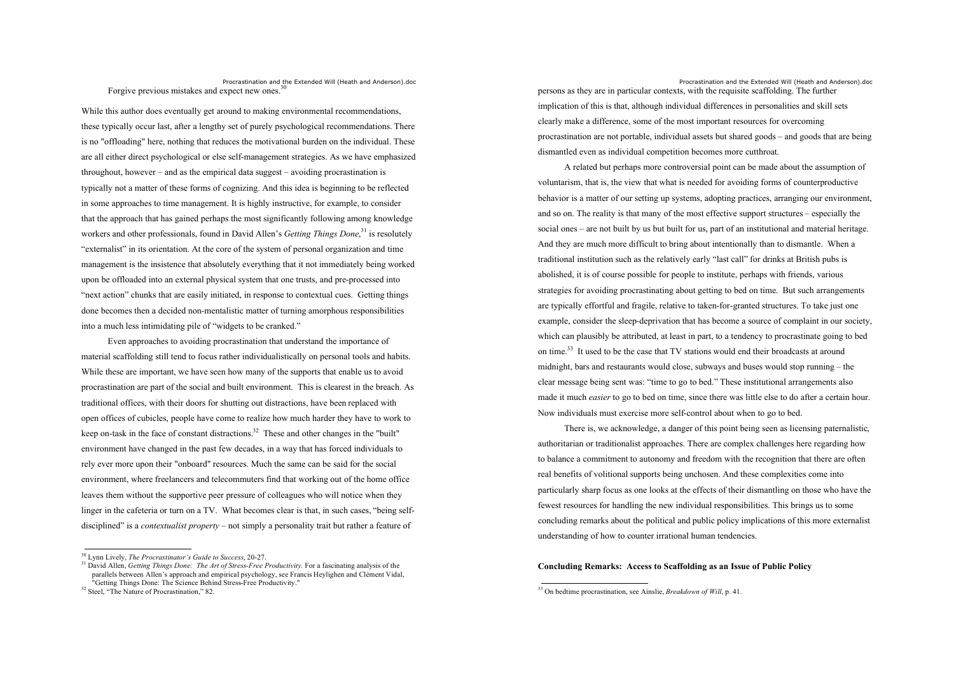Procrastination and the Extended Will (Heath and Anderson).doc Forgive previous mistakes and expect new ones.<sup>3</sup>

While this author does eventually get around to making environmental recommendations. these typically occur last, after a lengthy set of purely psychological recommendations. There is no "offloading" here, nothing that reduces the motivational burden on the individual. These are all either direct psychological or else self-management strategies. As we have emphasized throughout, however – and as the empirical data suggest – avoiding procrastination is typically not a matter of these forms of cognizing. And this idea is beginning to be reflected in some approaches to time management. It is highly instructive, for example, to consider that the approach that has gained perhaps the most significantly following among knowledge workers and other professionals, found in David Allen's *Getting Things Done*, <sup>31</sup> is resolutely "externalist" in its orientation. At the core of the system of personal organization and time management is the insistence that absolutely everything that it not immediately being worked upon be offloaded into an external physical system that one trusts, and pre-processed into "next action" chunks that are easily initiated, in response to contextual cues. Getting things done becomes then a decided non-mentalistic matter of turning amorphous responsibilities into a much less intimidating pile of "widgets to be cranked."

Even approaches to avoiding procrastination that understand the importance of material scaffolding still tend to focus rather individualistically on personal tools and habits. While these are important, we have seen how many of the supports that enable us to avoid procrastination are part of the social and built environment. This is clearest in the breach. As traditional offices, with their doors for shutting out distractions, have been replaced with open offices of cubicles, people have come to realize how much harder they have to work to keep on-task in the face of constant distractions.<sup>32</sup> These and other changes in the "built" environment have changed in the past few decades, in a way that has forced individuals to rely ever more upon their "onboard" resources. Much the same can be said for the social environment, where freelancers and telecommuters find that working out of the home office leaves them without the supportive peer pressure of colleagues who will notice when they linger in the cafeteria or turn on a TV. What becomes clear is that, in such cases, "being selfdisciplined" is a *contextualist property* – not simply a personality trait but rather a feature of

Procrastination and the Extended Will (Heath and Anderson).doc persons as they are in particular contexts, with the requisite scaffolding. The further implication of this is that, although individual differences in personalities and skill sets clearly make a difference, some of the most important resources for overcoming procrastination are not portable, individual assets but shared goods – and goods that are being dismantled even as individual competition becomes more cutthroat.

A related but perhaps more controversial point can be made about the assumption of voluntarism, that is, the view that what is needed for avoiding forms of counterproductive behavior is a matter of our setting up systems, adopting practices, arranging our environment, and so on. The reality is that many of the most effective support structures – especially the social ones – are not built by us but built for us, part of an institutional and material heritage. And they are much more difficult to bring about intentionally than to dismantle. When a traditional institution such as the relatively early "last call" for drinks at British pubs is abolished, it is of course possible for people to institute, perhaps with friends, various strategies for avoiding procrastinating about getting to bed on time. But such arrangements are typically effortful and fragile, relative to taken-for-granted structures. To take just one example, consider the sleep-deprivation that has become a source of complaint in our society, which can plausibly be attributed, at least in part, to a tendency to procrastinate going to bed on time.33 It used to be the case that TV stations would end their broadcasts at around midnight, bars and restaurants would close, subways and buses would stop running – the clear message being sent was: "time to go to bed." These institutional arrangements also made it much *easier* to go to bed on time, since there was little else to do after a certain hour. Now individuals must exercise more self-control about when to go to bed.

There is, we acknowledge, a danger of this point being seen as licensing paternalistic, authoritarian or traditionalist approaches. There are complex challenges here regarding how to balance a commitment to autonomy and freedom with the recognition that there are often real benefits of volitional supports being unchosen. And these complexities come into particularly sharp focus as one looks at the effects of their dismantling on those who have the fewest resources for handling the new individual responsibilities. This brings us to some concluding remarks about the political and public policy implications of this more externalist understanding of how to counter irrational human tendencies.

## **Concluding Remarks: Access to Scaffolding as an Issue of Public Policy**

<sup>&</sup>lt;sup>30</sup> Lynn Lively, *The Procrastinator's Guide to Success*, 20-27.<br><sup>31</sup> David Allen, *Getting Things Done: The Art of Stress-Free Productivity.* For a fascinating analysis of the parallels between Allen's approach and empirical psychology, see Francis Heylighen and Clément Vidal, "Getting Things Done: The Science Behind Stress-Free Productivity." 32 Steel, "The Nature of Procrastination," 82.

33 On bedtime procrastination, see Ainslie, *Breakdown of Will*, p. 41.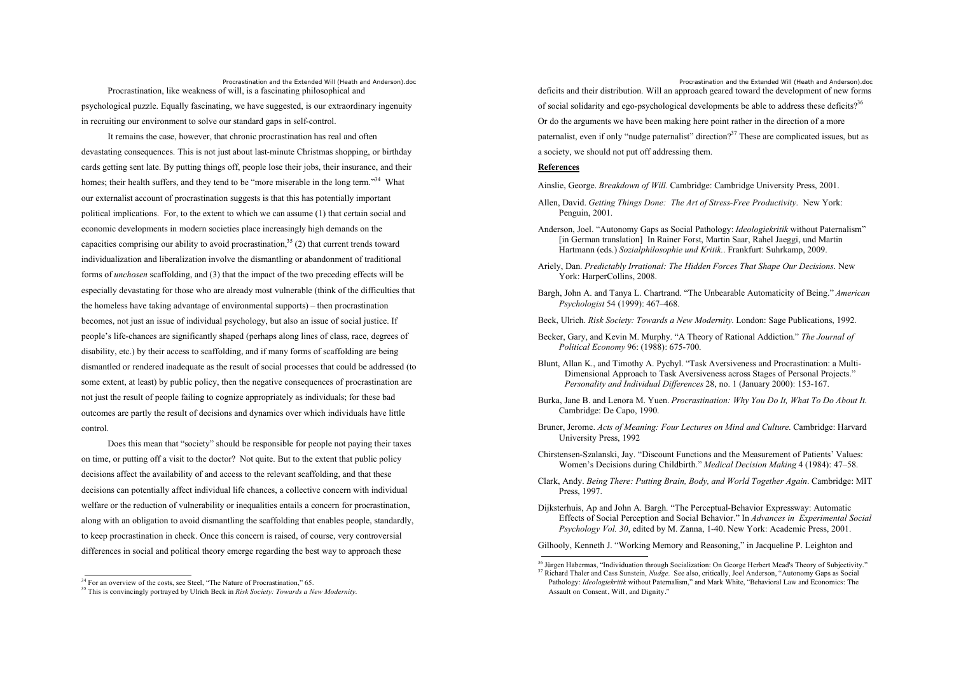Procrastination and the Extended Will (Heath and Anderson).doc Procrastination, like weakness of will, is a fascinating philosophical and psychological puzzle. Equally fascinating, we have suggested, is our extraordinary ingenuity in recruiting our environment to solve our standard gaps in self-control.

It remains the case, however, that chronic procrastination has real and often devastating consequences. This is not just about last-minute Christmas shopping, or birthday cards getting sent late. By putting things off, people lose their jobs, their insurance, and their homes; their health suffers, and they tend to be "more miserable in the long term."<sup>34</sup> What our externalist account of procrastination suggests is that this has potentially important political implications. For, to the extent to which we can assume (1) that certain social and economic developments in modern societies place increasingly high demands on the capacities comprising our ability to avoid procrastination,  $35$  (2) that current trends toward individualization and liberalization involve the dismantling or abandonment of traditional forms of *unchosen* scaffolding, and (3) that the impact of the two preceding effects will be especially devastating for those who are already most vulnerable (think of the difficulties that the homeless have taking advantage of environmental supports) – then procrastination becomes, not just an issue of individual psychology, but also an issue of social justice. If people's life-chances are significantly shaped (perhaps along lines of class, race, degrees of disability, etc.) by their access to scaffolding, and if many forms of scaffolding are being dismantled or rendered inadequate as the result of social processes that could be addressed (to some extent, at least) by public policy, then the negative consequences of procrastination are not just the result of people failing to cognize appropriately as individuals; for these bad outcomes are partly the result of decisions and dynamics over which individuals have little control.

Does this mean that "society" should be responsible for people not paying their taxes on time, or putting off a visit to the doctor? Not quite. But to the extent that public policy decisions affect the availability of and access to the relevant scaffolding, and that these decisions can potentially affect individual life chances, a collective concern with individual welfare or the reduction of vulnerability or inequalities entails a concern for procrastination, along with an obligation to avoid dismantling the scaffolding that enables people, standardly, to keep procrastination in check. Once this concern is raised, of course, very controversial differences in social and political theory emerge regarding the best way to approach these

Procrastination and the Extended Will (Heath and Anderson).doc deficits and their distribution. Will an approach geared toward the development of new forms of social solidarity and ego-psychological developments be able to address these deficits?<sup>36</sup> Or do the arguments we have been making here point rather in the direction of a more paternalist, even if only "nudge paternalist" direction?<sup>37</sup> These are complicated issues, but as a society, we should not put off addressing them.

#### **References**

ì

Ainslie, George. *Breakdown of Will.* Cambridge: Cambridge University Press, 2001.

- Allen, David. *Getting Things Done: The Art of Stress-Free Productivity*. New York: Penguin, 2001.
- Anderson, Joel. "Autonomy Gaps as Social Pathology: *Ideologiekritik* without Paternalism" [in German translation] In Rainer Forst, Martin Saar, Rahel Jaeggi, und Martin Hartmann (eds.) *Sozialphilosophie und Kritik.*. Frankfurt: Suhrkamp, 2009.
- Ariely, Dan. *Predictably Irrational: The Hidden Forces That Shape Our Decisions*. New York: HarperCollins, 2008.
- Bargh, John A. and Tanya L. Chartrand. "The Unbearable Automaticity of Being." *American Psychologist* 54 (1999): 467–468.
- Beck, Ulrich. *Risk Society: Towards a New Modernity*. London: Sage Publications, 1992.
- Becker, Gary, and Kevin M. Murphy. "A Theory of Rational Addiction." *The Journal of Political Economy* 96: (1988): 675-700.
- Blunt, Allan K., and Timothy A. Pychyl. "Task Aversiveness and Procrastination: a Multi-Dimensional Approach to Task Aversiveness across Stages of Personal Projects." *Personality and Individual Differences* 28, no. 1 (January 2000): 153-167.
- Burka, Jane B. and Lenora M. Yuen. *Procrastination: Why You Do It, What To Do About It*. Cambridge: De Capo, 1990.
- Bruner, Jerome. *Acts of Meaning: Four Lectures on Mind and Culture*. Cambridge: Harvard University Press, 1992
- Chirstensen-Szalanski, Jay. "Discount Functions and the Measurement of Patients' Values: Women's Decisions during Childbirth." *Medical Decision Making* 4 (1984): 47–58.
- Clark, Andy. *Being There: Putting Brain, Body, and World Together Again*. Cambridge: MIT Press, 1997.
- Dijksterhuis, Ap and John A. Bargh. "The Perceptual-Behavior Expressway: Automatic Effects of Social Perception and Social Behavior." In *Advances in Experimental Social Psychology Vol. 30*, edited by M. Zanna, 1-40. New York: Academic Press, 2001.

Gilhooly, Kenneth J. "Working Memory and Reasoning," in Jacqueline P. Leighton and

<sup>&</sup>lt;sup>34</sup> For an overview of the costs, see Steel, "The Nature of Procrastination," 65.

<sup>35</sup> This is convincingly portrayed by Ulrich Beck in *Risk Society: Towards a New Modernity*.

<sup>&</sup>lt;sup>36</sup> Jürgen Habermas, "Individuation through Socialization: On George Herbert Mead's Theory of Subjectivity." <sup>37</sup> Richard Thaler and Cass Sunstein, *Nudge*. See also, critically, Joel Anderson, "Autonomy Gaps as Social

Pathology: *Ideologiekritik* without Paternalism," and Mark White, "Behavioral Law and Economics: The Assault on Consent, Will, and Dignity."